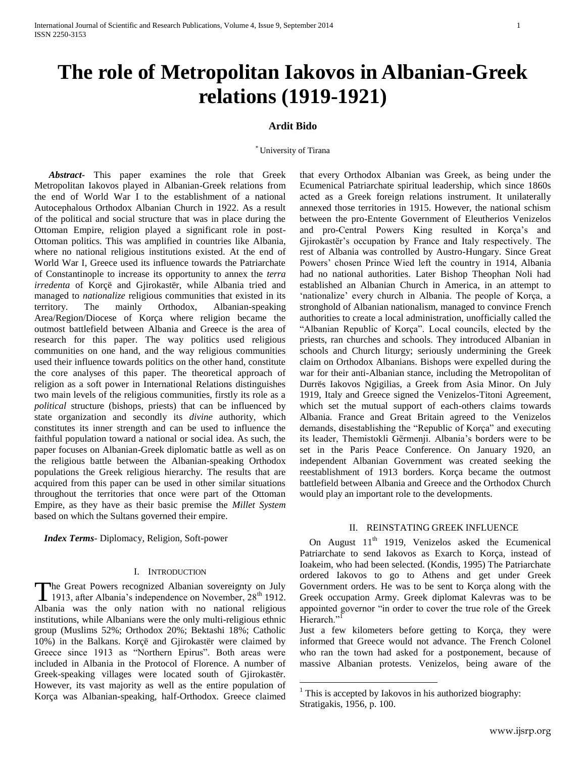# **Ardit Bido**

#### \* University of Tirana

 $\overline{a}$ 

 *Abstract***-** This paper examines the role that Greek Metropolitan Iakovos played in Albanian-Greek relations from the end of World War I to the establishment of a national Autocephalous Orthodox Albanian Church in 1922. As a result of the political and social structure that was in place during the Ottoman Empire, religion played a significant role in post-Ottoman politics. This was amplified in countries like Albania, where no national religious institutions existed. At the end of World War I, Greece used its influence towards the Patriarchate of Constantinople to increase its opportunity to annex the *terra irredenta* of Korçë and Gjirokastër, while Albania tried and managed to *nationalize* religious communities that existed in its territory. The mainly Orthodox, Albanian-speaking Area/Region/Diocese of Korça where religion became the outmost battlefield between Albania and Greece is the area of research for this paper. The way politics used religious communities on one hand, and the way religious communities used their influence towards politics on the other hand, constitute the core analyses of this paper. The theoretical approach of religion as a soft power in International Relations distinguishes two main levels of the religious communities, firstly its role as a *political* structure (bishops, priests) that can be influenced by state organization and secondly its *divine* authority, which constitutes its inner strength and can be used to influence the faithful population toward a national or social idea. As such, the paper focuses on Albanian-Greek diplomatic battle as well as on the religious battle between the Albanian-speaking Orthodox populations the Greek religious hierarchy. The results that are acquired from this paper can be used in other similar situations throughout the territories that once were part of the Ottoman Empire, as they have as their basic premise the *Millet System*  based on which the Sultans governed their empire.

 *Index Terms*- Diplomacy, Religion, Soft-power

## I. INTRODUCTION

The Great Powers recognized Albanian sovereignty on July The Great Powers recognized Albanian sovereignty on July 1913, after Albania's independence on November, 28<sup>th</sup> 1912. Albania was the only nation with no national religious institutions, while Albanians were the only multi-religious ethnic group (Muslims 52%; Orthodox 20%; Bektashi 18%; Catholic 10%) in the Balkans. Korçë and Gjirokastër were claimed by Greece since 1913 as "Northern Epirus". Both areas were included in Albania in the Protocol of Florence. A number of Greek-speaking villages were located south of Gjirokastër. However, its vast majority as well as the entire population of Korça was Albanian-speaking, half-Orthodox. Greece claimed

that every Orthodox Albanian was Greek, as being under the Ecumenical Patriarchate spiritual leadership, which since 1860s acted as a Greek foreign relations instrument. It unilaterally annexed those territories in 1915. However, the national schism between the pro-Entente Government of Eleutherios Venizelos and pro-Central Powers King resulted in Korça"s and Gjirokastër"s occupation by France and Italy respectively. The rest of Albania was controlled by Austro-Hungary. Since Great Powers" chosen Prince Wied left the country in 1914, Albania had no national authorities. Later Bishop Theophan Noli had established an Albanian Church in America, in an attempt to 'nationalize' every church in Albania. The people of Korça, a stronghold of Albanian nationalism, managed to convince French authorities to create a local administration, unofficially called the "Albanian Republic of Korça". Local councils, elected by the priests, ran churches and schools. They introduced Albanian in schools and Church liturgy; seriously undermining the Greek claim on Orthodox Albanians. Bishops were expelled during the war for their anti-Albanian stance, including the Metropolitan of Durrës Iakovos Ngigilias, a Greek from Asia Minor. On July 1919, Italy and Greece signed the Venizelos-Titoni Agreement, which set the mutual support of each-others claims towards Albania. France and Great Britain agreed to the Venizelos demands, disestablishing the "Republic of Korça" and executing its leader, Themistokli Gërmenji. Albania"s borders were to be set in the Paris Peace Conference. On January 1920, an independent Albanian Government was created seeking the reestablishment of 1913 borders. Korça became the outmost battlefield between Albania and Greece and the Orthodox Church would play an important role to the developments.

## II. REINSTATING GREEK INFLUENCE

On August  $11<sup>th</sup>$  1919, Venizelos asked the Ecumenical Patriarchate to send Iakovos as Exarch to Korça, instead of Ioakeim, who had been selected. (Kondis, 1995) The Patriarchate ordered Iakovos to go to Athens and get under Greek Government orders. He was to be sent to Korça along with the Greek occupation Army. Greek diplomat Kalevras was to be appointed governor "in order to cover the true role of the Greek Hierarch."

Just a few kilometers before getting to Korça, they were informed that Greece would not advance. The French Colonel who ran the town had asked for a postponement, because of massive Albanian protests. Venizelos, being aware of the

 $<sup>1</sup>$  This is accepted by Iakovos in his authorized biography:</sup> Stratigakis, 1956, p. 100.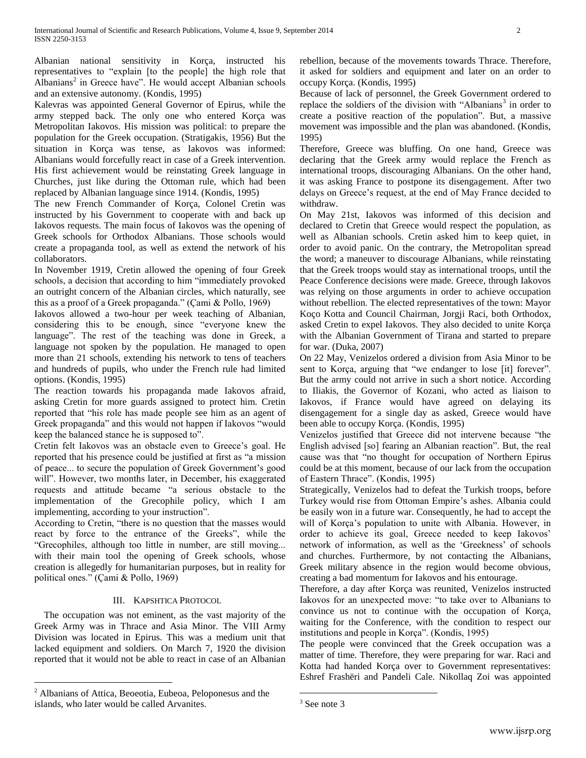Albanian national sensitivity in Korça, instructed his representatives to "explain [to the people] the high role that Albanians<sup>2</sup> in Greece have". He would accept Albanian schools and an extensive autonomy. (Kondis, 1995)

Kalevras was appointed General Governor of Epirus, while the army stepped back. The only one who entered Korça was Metropolitan Iakovos. His mission was political: to prepare the population for the Greek occupation. (Stratigakis, 1956) But the situation in Korça was tense, as Iakovos was informed: Albanians would forcefully react in case of a Greek intervention. His first achievement would be reinstating Greek language in Churches, just like during the Ottoman rule, which had been replaced by Albanian language since 1914. (Kondis, 1995)

The new French Commander of Korça, Colonel Cretin was instructed by his Government to cooperate with and back up Iakovos requests. The main focus of Iakovos was the opening of Greek schools for Orthodox Albanians. Those schools would create a propaganda tool, as well as extend the network of his collaborators.

In November 1919, Cretin allowed the opening of four Greek schools, a decision that according to him "immediately provoked an outright concern of the Albanian circles, which naturally, see this as a proof of a Greek propaganda." (Çami & Pollo, 1969)

Iakovos allowed a two-hour per week teaching of Albanian, considering this to be enough, since "everyone knew the language". The rest of the teaching was done in Greek, a language not spoken by the population. He managed to open more than 21 schools, extending his network to tens of teachers and hundreds of pupils, who under the French rule had limited options. (Kondis, 1995)

The reaction towards his propaganda made Iakovos afraid, asking Cretin for more guards assigned to protect him. Cretin reported that "his role has made people see him as an agent of Greek propaganda" and this would not happen if Iakovos "would keep the balanced stance he is supposed to".

Cretin felt Iakovos was an obstacle even to Greece"s goal. He reported that his presence could be justified at first as "a mission of peace... to secure the population of Greek Government's good will". However, two months later, in December, his exaggerated requests and attitude became "a serious obstacle to the implementation of the Grecophile policy, which I am implementing, according to your instruction".

According to Cretin, "there is no question that the masses would react by force to the entrance of the Greeks", while the "Grecophiles, although too little in number, are still moving... with their main tool the opening of Greek schools, whose creation is allegedly for humanitarian purposes, but in reality for political ones." (Çami & Pollo, 1969)

# III. KAPSHTICA PROTOCOL

 The occupation was not eminent, as the vast majority of the Greek Army was in Thrace and Asia Minor. The VIII Army Division was located in Epirus. This was a medium unit that lacked equipment and soldiers. On March 7, 1920 the division reported that it would not be able to react in case of an Albanian

 $\overline{a}$ 

rebellion, because of the movements towards Thrace. Therefore, it asked for soldiers and equipment and later on an order to occupy Korça. (Kondis, 1995)

Because of lack of personnel, the Greek Government ordered to replace the soldiers of the division with "Albanians<sup>3</sup> in order to create a positive reaction of the population". But, a massive movement was impossible and the plan was abandoned. (Kondis, 1995)

Therefore, Greece was bluffing. On one hand, Greece was declaring that the Greek army would replace the French as international troops, discouraging Albanians. On the other hand, it was asking France to postpone its disengagement. After two delays on Greece"s request, at the end of May France decided to withdraw.

On May 21st, Iakovos was informed of this decision and declared to Cretin that Greece would respect the population, as well as Albanian schools. Cretin asked him to keep quiet, in order to avoid panic. On the contrary, the Metropolitan spread the word; a maneuver to discourage Albanians, while reinstating that the Greek troops would stay as international troops, until the Peace Conference decisions were made. Greece, through Iakovos was relying on those arguments in order to achieve occupation without rebellion. The elected representatives of the town: Mayor Koço Kotta and Council Chairman, Jorgji Raci, both Orthodox, asked Cretin to expel Iakovos. They also decided to unite Korça with the Albanian Government of Tirana and started to prepare for war. (Duka, 2007)

On 22 May, Venizelos ordered a division from Asia Minor to be sent to Korça, arguing that "we endanger to lose [it] forever". But the army could not arrive in such a short notice. According to Iliakis, the Governor of Kozani, who acted as liaison to Iakovos, if France would have agreed on delaying its disengagement for a single day as asked, Greece would have been able to occupy Korça. (Kondis, 1995)

Venizelos justified that Greece did not intervene because "the English advised [so] fearing an Albanian reaction". But, the real cause was that "no thought for occupation of Northern Epirus could be at this moment, because of our lack from the occupation of Eastern Thrace". (Kondis, 1995)

Strategically, Venizelos had to defeat the Turkish troops, before Turkey would rise from Ottoman Empire"s ashes. Albania could be easily won in a future war. Consequently, he had to accept the will of Korça's population to unite with Albania. However, in order to achieve its goal, Greece needed to keep Iakovos" network of information, as well as the 'Greekness' of schools and churches. Furthermore, by not contacting the Albanians, Greek military absence in the region would become obvious, creating a bad momentum for Iakovos and his entourage.

Therefore, a day after Korça was reunited, Venizelos instructed Iakovos for an unexpected move: "to take over to Albanians to convince us not to continue with the occupation of Korça, waiting for the Conference, with the condition to respect our institutions and people in Korça". (Kondis, 1995)

The people were convinced that the Greek occupation was a matter of time. Therefore, they were preparing for war. Raci and Kotta had handed Korça over to Government representatives: Eshref Frashëri and Pandeli Cale. Nikollaq Zoi was appointed

 $\overline{a}$ 

<sup>2</sup> Albanians of Attica, Beoeotia, Eubeoa, Peloponesus and the islands, who later would be called Arvanites.

<sup>&</sup>lt;sup>3</sup> See note 3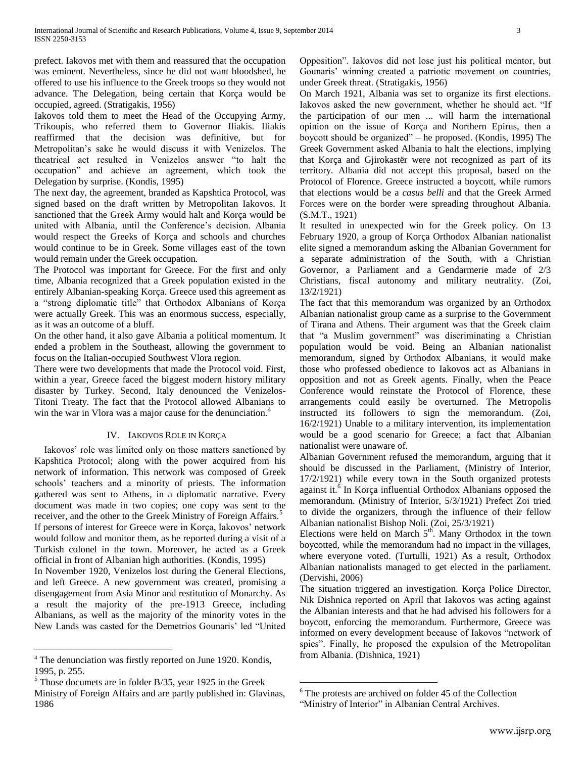prefect. Iakovos met with them and reassured that the occupation was eminent. Nevertheless, since he did not want bloodshed, he offered to use his influence to the Greek troops so they would not advance. The Delegation, being certain that Korça would be occupied, agreed. (Stratigakis, 1956)

Iakovos told them to meet the Head of the Occupying Army, Trikoupis, who referred them to Governor Iliakis. Iliakis reaffirmed that the decision was definitive, but for Metropolitan"s sake he would discuss it with Venizelos. The theatrical act resulted in Venizelos answer "to halt the occupation" and achieve an agreement, which took the Delegation by surprise. (Kondis, 1995)

The next day, the agreement, branded as Kapshtica Protocol, was signed based on the draft written by Metropolitan Iakovos. It sanctioned that the Greek Army would halt and Korça would be united with Albania, until the Conference's decision. Albania would respect the Greeks of Korça and schools and churches would continue to be in Greek. Some villages east of the town would remain under the Greek occupation.

The Protocol was important for Greece. For the first and only time, Albania recognized that a Greek population existed in the entirely Albanian-speaking Korça. Greece used this agreement as a "strong diplomatic title" that Orthodox Albanians of Korça were actually Greek. This was an enormous success, especially, as it was an outcome of a bluff.

On the other hand, it also gave Albania a political momentum. It ended a problem in the Southeast, allowing the government to focus on the Italian-occupied Southwest Vlora region.

There were two developments that made the Protocol void. First, within a year, Greece faced the biggest modern history military disaster by Turkey. Second, Italy denounced the Venizelos-Titoni Treaty. The fact that the Protocol allowed Albanians to win the war in Vlora was a major cause for the denunciation.<sup>4</sup>

## IV. IAKOVOS ROLE IN KORÇA

 Iakovos" role was limited only on those matters sanctioned by Kapshtica Protocol; along with the power acquired from his network of information. This network was composed of Greek schools" teachers and a minority of priests. The information gathered was sent to Athens, in a diplomatic narrative. Every document was made in two copies; one copy was sent to the receiver, and the other to the Greek Ministry of Foreign Affairs.<sup>5</sup> If persons of interest for Greece were in Korça, Iakovos' network would follow and monitor them, as he reported during a visit of a Turkish colonel in the town. Moreover, he acted as a Greek official in front of Albanian high authorities. (Kondis, 1995)

In November 1920, Venizelos lost during the General Elections, and left Greece. A new government was created, promising a disengagement from Asia Minor and restitution of Monarchy. As a result the majority of the pre-1913 Greece, including Albanians, as well as the majority of the minority votes in the New Lands was casted for the Demetrios Gounaris" led "United

 $\overline{a}$ 

 $<sup>5</sup>$  Those documets are in folder B/35, year 1925 in the Greek</sup>

Opposition". Iakovos did not lose just his political mentor, but Gounaris' winning created a patriotic movement on countries, under Greek threat. (Stratigakis, 1956)

On March 1921, Albania was set to organize its first elections. Iakovos asked the new government, whether he should act. "If the participation of our men ... will harm the international opinion on the issue of Korça and Northern Epirus, then a boycott should be organized" – he proposed. (Kondis, 1995) The Greek Government asked Albania to halt the elections, implying that Korça and Gjirokastër were not recognized as part of its territory. Albania did not accept this proposal, based on the Protocol of Florence. Greece instructed a boycott, while rumors that elections would be a *casus belli* and that the Greek Armed Forces were on the border were spreading throughout Albania. (S.M.T., 1921)

It resulted in unexpected win for the Greek policy. On 13 February 1920, a group of Korça Orthodox Albanian nationalist elite signed a memorandum asking the Albanian Government for a separate administration of the South, with a Christian Governor, a Parliament and a Gendarmerie made of 2/3 Christians, fiscal autonomy and military neutrality. (Zoi, 13/2/1921)

The fact that this memorandum was organized by an Orthodox Albanian nationalist group came as a surprise to the Government of Tirana and Athens. Their argument was that the Greek claim that "a Muslim government" was discriminating a Christian population would be void. Being an Albanian nationalist memorandum, signed by Orthodox Albanians, it would make those who professed obedience to Iakovos act as Albanians in opposition and not as Greek agents. Finally, when the Peace Conference would reinstate the Protocol of Florence, these arrangements could easily be overturned. The Metropolis instructed its followers to sign the memorandum. (Zoi, 16/2/1921) Unable to a military intervention, its implementation would be a good scenario for Greece; a fact that Albanian nationalist were unaware of.

Albanian Government refused the memorandum, arguing that it should be discussed in the Parliament, (Ministry of Interior, 17/2/1921) while every town in the South organized protests against it. $6$  In Korça influential Orthodox Albanians opposed the memorandum. (Ministry of Interior, 5/3/1921) Prefect Zoi tried to divide the organizers, through the influence of their fellow Albanian nationalist Bishop Noli. (Zoi, 25/3/1921)

Elections were held on March  $5<sup>th</sup>$ . Many Orthodox in the town boycotted, while the memorandum had no impact in the villages, where everyone voted. (Turtulli, 1921) As a result, Orthodox Albanian nationalists managed to get elected in the parliament. (Dervishi, 2006)

The situation triggered an investigation. Korça Police Director, Nik Dishnica reported on April that Iakovos was acting against the Albanian interests and that he had advised his followers for a boycott, enforcing the memorandum. Furthermore, Greece was informed on every development because of Iakovos "network of spies". Finally, he proposed the expulsion of the Metropolitan from Albania. (Dishnica, 1921)

 $\overline{a}$ 

<sup>4</sup> The denunciation was firstly reported on June 1920. Kondis, 1995, p. 255.

Ministry of Foreign Affairs and are partly published in: Glavinas, 1986

<sup>6</sup> The protests are archived on folder 45 of the Collection "Ministry of Interior" in Albanian Central Archives.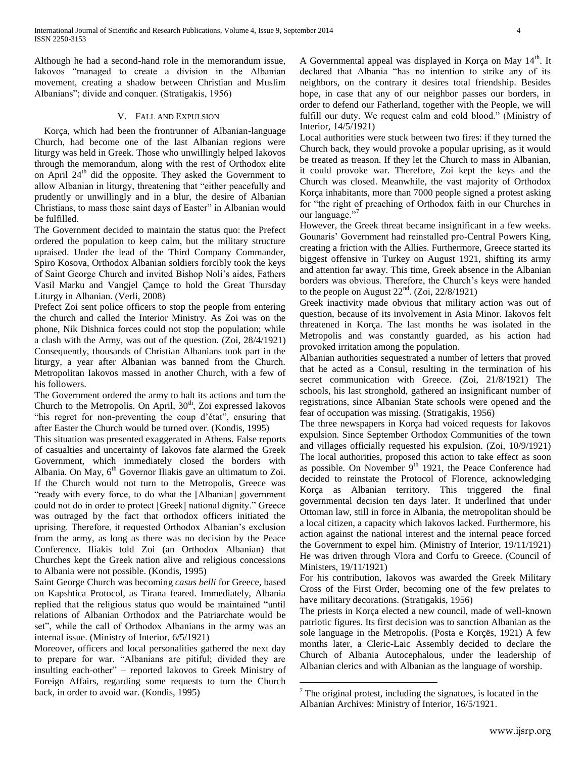Although he had a second-hand role in the memorandum issue, Iakovos "managed to create a division in the Albanian movement, creating a shadow between Christian and Muslim Albanians"; divide and conquer. (Stratigakis, 1956)

### V. FALL AND EXPULSION

 Korça, which had been the frontrunner of Albanian-language Church, had become one of the last Albanian regions were liturgy was held in Greek. Those who unwillingly helped Iakovos through the memorandum, along with the rest of Orthodox elite on April 24<sup>th</sup> did the opposite. They asked the Government to allow Albanian in liturgy, threatening that "either peacefully and prudently or unwillingly and in a blur, the desire of Albanian Christians, to mass those saint days of Easter" in Albanian would be fulfilled.

The Government decided to maintain the status quo: the Prefect ordered the population to keep calm, but the military structure upraised. Under the lead of the Third Company Commander, Spiro Kosova, Orthodox Albanian soldiers forcibly took the keys of Saint George Church and invited Bishop Noli"s aides, Fathers Vasil Marku and Vangjel Çamçe to hold the Great Thursday Liturgy in Albanian. (Verli, 2008)

Prefect Zoi sent police officers to stop the people from entering the church and called the Interior Ministry. As Zoi was on the phone, Nik Dishnica forces could not stop the population; while a clash with the Army, was out of the question. (Zoi, 28/4/1921) Consequently, thousands of Christian Albanians took part in the liturgy, a year after Albanian was banned from the Church. Metropolitan Iakovos massed in another Church, with a few of his followers.

The Government ordered the army to halt its actions and turn the Church to the Metropolis. On April, 30<sup>th</sup>, Zoi expressed Iakovos "his regret for non-preventing the coup d'état", ensuring that after Easter the Church would be turned over. (Kondis, 1995)

This situation was presented exaggerated in Athens. False reports of casualties and uncertainty of Iakovos fate alarmed the Greek Government, which immediately closed the borders with Albania. On May,  $6<sup>th</sup>$  Governor Iliakis gave an ultimatum to Zoi. If the Church would not turn to the Metropolis, Greece was "ready with every force, to do what the [Albanian] government could not do in order to protect [Greek] national dignity." Greece was outraged by the fact that orthodox officers initiated the uprising. Therefore, it requested Orthodox Albanian"s exclusion from the army, as long as there was no decision by the Peace Conference. Iliakis told Zoi (an Orthodox Albanian) that Churches kept the Greek nation alive and religious concessions to Albania were not possible. (Kondis, 1995)

Saint George Church was becoming *casus belli* for Greece, based on Kapshtica Protocol, as Tirana feared. Immediately, Albania replied that the religious status quo would be maintained "until relations of Albanian Orthodox and the Patriarchate would be set", while the call of Orthodox Albanians in the army was an internal issue. (Ministry of Interior, 6/5/1921)

Moreover, officers and local personalities gathered the next day to prepare for war. "Albanians are pitiful; divided they are insulting each-other" – reported Iakovos to Greek Ministry of Foreign Affairs, regarding some requests to turn the Church back, in order to avoid war. (Kondis, 1995)

A Governmental appeal was displayed in Korça on May 14<sup>th</sup>. It declared that Albania "has no intention to strike any of its neighbors, on the contrary it desires total friendship. Besides hope, in case that any of our neighbor passes our borders, in order to defend our Fatherland, together with the People, we will fulfill our duty. We request calm and cold blood." (Ministry of Interior, 14/5/1921)

Local authorities were stuck between two fires: if they turned the Church back, they would provoke a popular uprising, as it would be treated as treason. If they let the Church to mass in Albanian, it could provoke war. Therefore, Zoi kept the keys and the Church was closed. Meanwhile, the vast majority of Orthodox Korça inhabitants, more than 7000 people signed a protest asking for "the right of preaching of Orthodox faith in our Churches in our language."<sup>7</sup>

However, the Greek threat became insignificant in a few weeks. Gounaris" Government had reinstalled pro-Central Powers King, creating a friction with the Allies. Furthermore, Greece started its biggest offensive in Turkey on August 1921, shifting its army and attention far away. This time, Greek absence in the Albanian borders was obvious. Therefore, the Church's keys were handed to the people on August  $22<sup>nd</sup>$ . (Zoi, 22/8/1921)

Greek inactivity made obvious that military action was out of question, because of its involvement in Asia Minor. Iakovos felt threatened in Korça. The last months he was isolated in the Metropolis and was constantly guarded, as his action had provoked irritation among the population.

Albanian authorities sequestrated a number of letters that proved that he acted as a Consul, resulting in the termination of his secret communication with Greece. (Zoi, 21/8/1921) The schools, his last stronghold, gathered an insignificant number of registrations, since Albanian State schools were opened and the fear of occupation was missing. (Stratigakis, 1956)

The three newspapers in Korça had voiced requests for Iakovos expulsion. Since September Orthodox Communities of the town and villages officially requested his expulsion. (Zoi, 10/9/1921) The local authorities, proposed this action to take effect as soon as possible. On November  $9<sup>th</sup>$  1921, the Peace Conference had decided to reinstate the Protocol of Florence, acknowledging Korça as Albanian territory. This triggered the final governmental decision ten days later. It underlined that under Ottoman law, still in force in Albania, the metropolitan should be a local citizen, a capacity which Iakovos lacked. Furthermore, his action against the national interest and the internal peace forced the Government to expel him. (Ministry of Interior, 19/11/1921) He was driven through Vlora and Corfu to Greece. (Council of Ministers, 19/11/1921)

For his contribution, Iakovos was awarded the Greek Military Cross of the First Order, becoming one of the few prelates to have military decorations. (Stratigakis, 1956)

The priests in Korça elected a new council, made of well-known patriotic figures. Its first decision was to sanction Albanian as the sole language in the Metropolis. (Posta e Korçës, 1921) A few months later, a Cleric-Laic Assembly decided to declare the Church of Albania Autocephalous, under the leadership of Albanian clerics and with Albanian as the language of worship.

 $\overline{a}$ 

 $7$  The original protest, including the signatues, is located in the Albanian Archives: Ministry of Interior, 16/5/1921.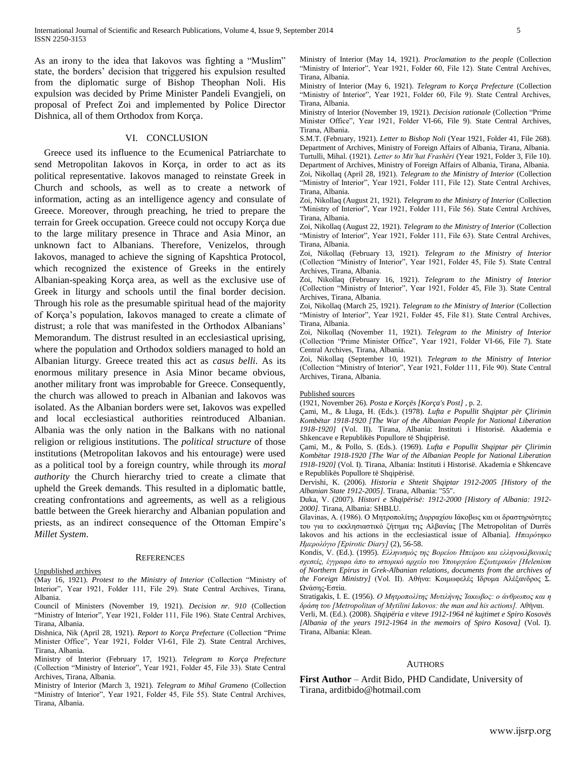As an irony to the idea that Iakovos was fighting a "Muslim" state, the borders" decision that triggered his expulsion resulted from the diplomatic surge of Bishop Theophan Noli. His expulsion was decided by Prime Minister Pandeli Evangjeli, on proposal of Prefect Zoi and implemented by Police Director Dishnica, all of them Orthodox from Korça.

### VI. CONCLUSION

Greece used its influence to the Ecumenical Patriarchate to send Metropolitan Iakovos in Korça, in order to act as its political representative. Iakovos managed to reinstate Greek in Church and schools, as well as to create a network of information, acting as an intelligence agency and consulate of Greece. Moreover, through preaching, he tried to prepare the terrain for Greek occupation. Greece could not occupy Korça due to the large military presence in Thrace and Asia Minor, an unknown fact to Albanians. Therefore, Venizelos, through Iakovos, managed to achieve the signing of Kapshtica Protocol, which recognized the existence of Greeks in the entirely Albanian-speaking Korça area, as well as the exclusive use of Greek in liturgy and schools until the final border decision. Through his role as the presumable spiritual head of the majority of Korça"s population, Iakovos managed to create a climate of distrust; a role that was manifested in the Orthodox Albanians' Memorandum. The distrust resulted in an ecclesiastical uprising, where the population and Orthodox soldiers managed to hold an Albanian liturgy. Greece treated this act as *casus belli*. As its enormous military presence in Asia Minor became obvious, another military front was improbable for Greece. Consequently, the church was allowed to preach in Albanian and Iakovos was isolated. As the Albanian borders were set, Iakovos was expelled and local ecclesiastical authorities reintroduced Albanian. Albania was the only nation in the Balkans with no national religion or religious institutions. The *political structure* of those institutions (Metropolitan Iakovos and his entourage) were used as a political tool by a foreign country, while through its *moral authority* the Church hierarchy tried to create a climate that upheld the Greek demands. This resulted in a diplomatic battle, creating confrontations and agreements, as well as a religious battle between the Greek hierarchy and Albanian population and priests, as an indirect consequence of the Ottoman Empire's *Millet System*.

#### **REFERENCES**

Unpublished archives

(May 16, 1921). *Protest to the Ministry of Interior* (Collection "Ministry of Interior", Year 1921, Folder 111, File 29). State Central Archives, Tirana, Albania.

Council of Ministers (November 19, 1921). *Decision nr. 910* (Collection "Ministry of Interior", Year 1921, Folder 111, File 196). State Central Archives, Tirana, Albania.

Dishnica, Nik (April 28, 1921). *Report to Korça Prefecture* (Collection "Prime Minister Office", Year 1921, Folder VI-61, File 2). State Central Archives, Tirana, Albania.

Ministry of Interior (February 17, 1921). *Telegram to Korça Prefecture* (Collection "Ministry of Interior", Year 1921, Folder 45, File 33). State Central Archives, Tirana, Albania.

Ministry of Interior (March 3, 1921). *Telegram to Mihal Grameno* (Collection "Ministry of Interior", Year 1921, Folder 45, File 55). State Central Archives, Tirana, Albania.

Ministry of Interior (May 14, 1921). *Proclamation to the people* (Collection "Ministry of Interior", Year 1921, Folder 60, File 12). State Central Archives, Tirana, Albania.

Ministry of Interior (May 6, 1921). *Telegram to Korça Prefecture* (Collection "Ministry of Interior", Year 1921, Folder 60, File 9). State Central Archives, Tirana, Albania.

Ministry of Interior (November 19, 1921). *Decision rationale* (Collection "Prime Minister Office", Year 1921, Folder VI-66, File 9). State Central Archives, Tirana, Albania.

S.M.T. (February, 1921). *Letter to Bishop Noli* (Year 1921, Folder 41, File 268). Department of Archives, Ministry of Foreign Affairs of Albania, Tirana, Albania. Turtulli, Mihal. (1921). *Letter to Mit'hat Frashëri* (Year 1921, Folder 3, File 10). Department of Archives, Ministry of Foreign Affairs of Albania, Tirana, Albania. Zoi, Nikollaq (April 28, 1921). *Telegram to the Ministry of Interior* (Collection "Ministry of Interior", Year 1921, Folder 111, File 12). State Central Archives, Tirana, Albania.

Zoi, Nikollaq (August 21, 1921). *Telegram to the Ministry of Interior* (Collection "Ministry of Interior", Year 1921, Folder 111, File 56). State Central Archives, Tirana, Albania.

Zoi, Nikollaq (August 22, 1921). *Telegram to the Ministry of Interior* (Collection "Ministry of Interior", Year 1921, Folder 111, File 63). State Central Archives, Tirana, Albania.

Zoi, Nikollaq (February 13, 1921). *Telegram to the Ministry of Interior* (Collection "Ministry of Interior", Year 1921, Folder 45, File 5). State Central Archives, Tirana, Albania.

Zoi, Nikollaq (February 16, 1921). *Telegram to the Ministry of Interior* (Collection "Ministry of Interior", Year 1921, Folder 45, File 3). State Central Archives, Tirana, Albania.

Zoi, Nikollaq (March 25, 1921). *Telegram to the Ministry of Interior* (Collection "Ministry of Interior", Year 1921, Folder 45, File 81). State Central Archives, Tirana, Albania.

Zoi, Nikollaq (November 11, 1921). *Telegram to the Ministry of Interior* (Collection "Prime Minister Office", Year 1921, Folder VI-66, File 7). State Central Archives, Tirana, Albania.

Zoi, Nikollaq (September 10, 1921). *Telegram to the Ministry of Interior* (Collection "Ministry of Interior", Year 1921, Folder 111, File 90). State Central Archives, Tirana, Albania.

#### Published sources

(1921, November 26). *Posta e Korçës [Korça's Post]* , p. 2.

Çami, M., & Lluga, H. (Eds.). (1978). *Lufta e Popullit Shqiptar për Çlirimin Kombëtar 1918-1920 [The War of the Albanian People for National Liberation 1918-1920]* (Vol. II). Tirana, Albania: Instituti i Historisë. Akademia e Shkencave e Republikës Popullore të Shqipërisë.

Çami, M., & Pollo, S. (Eds.). (1969). *Lufta e Popullit Shqiptar për Çlirimin Kombëtar 1918-1920 [The War of the Albanian People for National Liberation 1918-1920]* (Vol. I). Tirana, Albania: Instituti i Historisë. Akademia e Shkencave e Republikës Popullore të Shqipërisë.

Dervishi, K. (2006). *Historia e Shtetit Shqiptar 1912-2005 [History of the Albanian State 1912-2005].* Tirana, Albania: "55".

Duka, V. (2007). *Histori e Shqipërisë: 1912-2000 [History of Albania: 1912- 2000].* Tirana, Albania: SHBLU.

Glavinas, Α. (1986). Ο Μητροπολίτης Δυρραχίου Ιάκοβως και οι δραστηριότητες του για το εκκλησιαστικό ζήτημα της Αλβανίας [The Metropolitan of Durrës Iakovos and his actions in the ecclesiastical issue of Albania]. *Ηπειρότηκο Ημερολόγιο [Epirotic Diary]* (2), 56-58.

Kondis, V. (Ed.). (1995). *Ελληνισμός της Βορείου Ηπείρου και ελληνοαλβανικές* σχεσείς, έγγραφα άπο το ιστορικό αρχείο του Υπουργείου Εξωτερικών [Helenism *of Northern Epirus in Grek-Albanian relations, documents from the archives of the Foreign Ministry]* (Vol. II). Αθήνα: Κοιμωφελές Ιδρυμα Αλέξανδρος Σ. Ωνάσης-Εστία.

Stratigakis, I. E. (1956). *Ο Μητροπολίτης Μυτιλήνης Τακωβος: ο άνθρωπος και η δράση του [Metropolitan of Mytilini Iakovos: the man and his actions].* Αθήναι.

Verli, M. (Ed.). (2008). *Shqipëria e viteve 1912-1964 në kujtimet e Spiro Kosovës [Albania of the years 1912-1964 in the memoirs of Spiro Kosova]* (Vol. I). Tirana, Albania: Klean.

### AUTHORS

**First Author** – Ardit Bido, PHD Candidate, University of Tirana, arditbido@hotmail.com